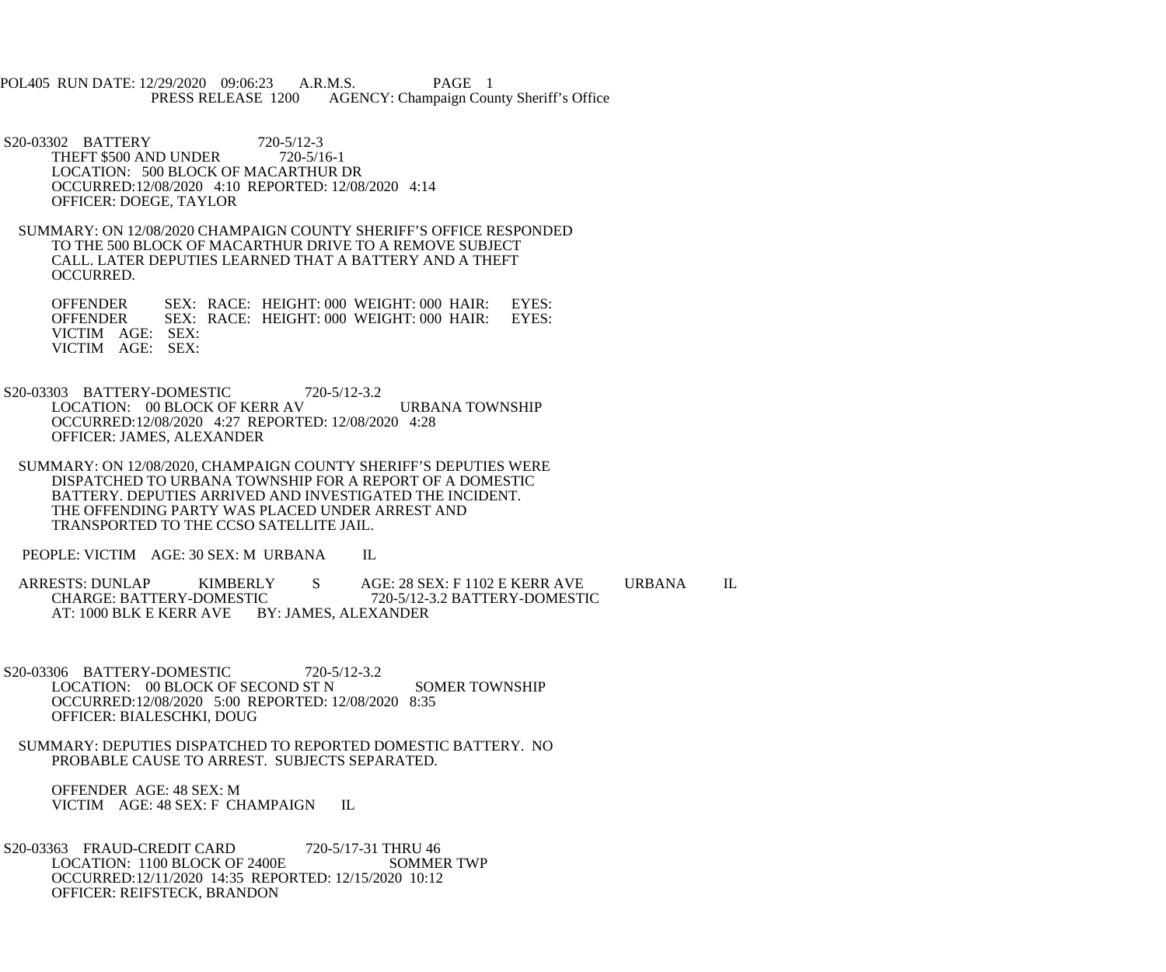POL405 RUN DATE: 12/29/2020 09:06:23 A.R.M.S. PAGE 1 AGENCY: Champaign County Sheriff's Office

S20-03302 BATTERY 720-5/12-3<br>THEFT \$500 AND UNDER 720-5/16-1 THEFT \$500 AND UNDER LOCATION: 500 BLOCK OF MACARTHUR DR OCCURRED:12/08/2020 4:10 REPORTED: 12/08/2020 4:14 OFFICER: DOEGE, TAYLOR

 SUMMARY: ON 12/08/2020 CHAMPAIGN COUNTY SHERIFF'S OFFICE RESPONDED TO THE 500 BLOCK OF MACARTHUR DRIVE TO A REMOVE SUBJECT CALL. LATER DEPUTIES LEARNED THAT A BATTERY AND A THEFT OCCURRED.

OFFENDER SEX: RACE: HEIGHT: 000 WEIGHT: 000 HAIR: EYES:<br>OFFENDER SEX: RACE: HEIGHT: 000 WEIGHT: 000 HAIR: EYES: SEX: RACE: HEIGHT: 000 WEIGHT: 000 HAIR: VICTIM AGE: SEX: VICTIM AGE: SEX:

 S20-03303 BATTERY-DOMESTIC 720-5/12-3.2 LOCATION: 00 BLOCK OF KERR AV URBANA TOWNSHIP OCCURRED:12/08/2020 4:27 REPORTED: 12/08/2020 4:28 OFFICER: JAMES, ALEXANDER

 SUMMARY: ON 12/08/2020, CHAMPAIGN COUNTY SHERIFF'S DEPUTIES WERE DISPATCHED TO URBANA TOWNSHIP FOR A REPORT OF A DOMESTIC BATTERY. DEPUTIES ARRIVED AND INVESTIGATED THE INCIDENT. THE OFFENDING PARTY WAS PLACED UNDER ARREST AND TRANSPORTED TO THE CCSO SATELLITE JAIL.

PEOPLE: VICTIM AGE: 30 SEX: M URBANA IL

ARRESTS: DUNLAP KIMBERLY S AGE: 28 SEX: F 1102 E KERR AVE URBANA IL CHARGE: BATTERY-DOMESTIC 720-5/12-3.2 BATTERY-DOMESTIC 720-5/12-3.2 BATTERY-DOMESTIC AT: 1000 BLK E KERR AVE BY: JAMES, ALEXANDER

 S20-03306 BATTERY-DOMESTIC 720-5/12-3.2 LOCATION: 00 BLOCK OF SECOND ST N SOMER TOWNSHIP OCCURRED:12/08/2020 5:00 REPORTED: 12/08/2020 8:35 OFFICER: BIALESCHKI, DOUG

 SUMMARY: DEPUTIES DISPATCHED TO REPORTED DOMESTIC BATTERY. NO PROBABLE CAUSE TO ARREST. SUBJECTS SEPARATED.

 OFFENDER AGE: 48 SEX: M VICTIM AGE: 48 SEX: F CHAMPAIGN IL

S20-03363 FRAUD-CREDIT CARD 720-5/17-31 THRU 46<br>LOCATION: 1100 BLOCK OF 2400E SOMMER TWP LOCATION: 1100 BLOCK OF 2400E OCCURRED:12/11/2020 14:35 REPORTED: 12/15/2020 10:12 OFFICER: REIFSTECK, BRANDON